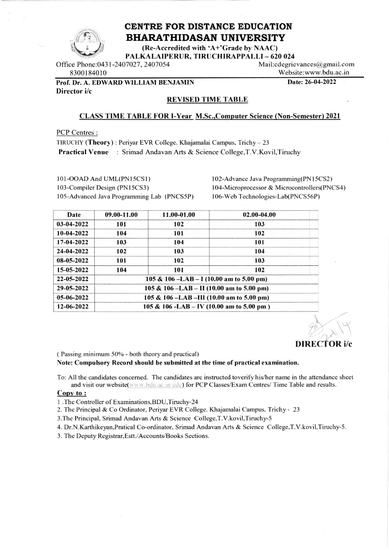

# CENTRE FOR DISTANCE EDUCATION **BHARATHIDASAN UNIVERSITY**

(Re-Accredited with 'A+'Grade by NAAC) PALKALAIPERUR, TIRUCHIRAPPALLI - 620 024

Office Phone: 0431-2407027, 2407054 8300184010

Mail:cdegrievances@gmail.com Website:www.bdu.ac.in

Date: 26-04-2022

Prof. Dr. A. EDWARD WILLIAM BENJAMIN

Director i/c

#### **REVISED TIME TABLE**

#### **CLASS TIME TABLE FOR I-Year M.Sc., Computer Science (Non-Semester) 2021**

PCP Centres:

TIRUCHY (Theory): Periyar EVR College. Khajamalai Campus, Trichy - 23 **Practical Venue**: Srimad Andavan Arts & Science College, T.V. Kovil, Tiruchy

101-OOAD And UML(PN15CS1) 103-Compiler Design (PN15CS3) 105-Advanced Java Programming Lab (PNCS5P) 102-Advance Java Programming(PN15CS2) 104-Microprocessor & Microcontrollers(PNCS4) 106-Web Technologies-Lab(PNCS56P)

| Date         | 09.00-11.00                               | 11.00-01.00                               | 02.00-04.00 |  |  |  |
|--------------|-------------------------------------------|-------------------------------------------|-------------|--|--|--|
| 03-04-2022   | 101                                       | 102                                       | 103         |  |  |  |
| $10-04-2022$ | 104                                       | 101                                       | 102         |  |  |  |
| 17-04-2022   | 103                                       | 104                                       | 101         |  |  |  |
| 24-04-2022   | 102                                       | 103                                       | 104         |  |  |  |
| 08-05-2022   | 101                                       | 102                                       | 103         |  |  |  |
| 15-05-2022   | 104                                       | 101                                       | 102         |  |  |  |
| 22-05-2022   |                                           | 105 & 106 -LAB - 1 (10.00 am to 5.00 pm)  |             |  |  |  |
| 29-05-2022   |                                           | 105 & 106 -LAB - II (10.00 am to 5.00 pm) |             |  |  |  |
| 05-06-2022   | 105 & 106 -LAB -III (10.00 am to 5.00 pm) |                                           |             |  |  |  |
| 12-06-2022   |                                           | 105 & 106 -LAB - IV (10.00 am to 5.00 pm) |             |  |  |  |

### **DIRECTOR** i/c

(Passing minimum 50% - both theory and practical)

Note: Compulsory Record should be submitted at the time of practical examination.

To: All the candidates concerned. The candidates are instructed toverify his/her name in the attendance sheet and visit our website(www.bdu.ac.in/cde) for PCP Classes/Exam Centres/ Time Table and results.

#### Copy to:

- 1 .The Controller of Examinations, BDU, Tiruchy-24
- 2. The Principal & Co Ordinator, Periyar EVR College. Khajamalai Campus, Trichy 23

3. The Principal, Srimad Andavan Arts & Science College, T.V. kovil, Tiruchy-5

4. Dr.N.Karthikeyan, Pratical Co-ordinator, Srimad Andavan Arts & Science College, T.V.kovil, Tiruchy-5.

3. The Deputy Registrar, Estt./Accounts/Books Sections.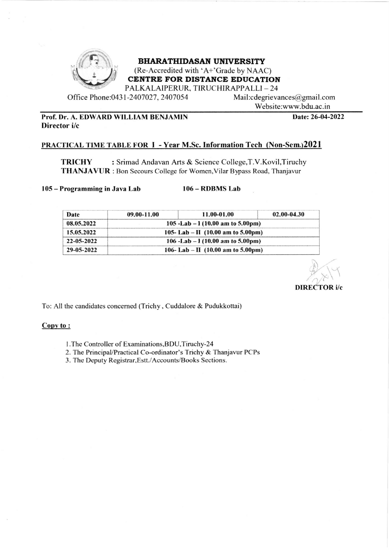

### **BHARATHIDASAN UNIVERSITY**

(Re-Accredited with 'A+'Grade by NAAC)<br>CENTRE FOR DISTANCE EDUCATION

PALKALAIPERUR, TIRUCHIRAPPALLI – 24<br>1-2407027, 2407054 Mail:cdegrievances@gmail.com

Office Phone:0431-2407027, 2407054

Website:www.bdu.ac. in

#### Prof. Dr. A. EDWARD WILLIAM BENJAMIN Director i/c

Date: 26-04-2022

#### PRACTICAL TIME TABLE FOR I - Year M.Sc. Information Tech (Non-Sem.)2021

TRICHY : Srimad Andavan Arts & Science College, T.V. Kovil, Tiruchy THANJAVUR : Bon Secours College for Women, Vilar Bypass Road, Thanjavur

<sup>105</sup>- Programming in Java Lab 106- RDBMS Lab

| Date       | $09.00 - 11.00$                                       | 11.00-01.00                                          | 02.00-04.30 |  |
|------------|-------------------------------------------------------|------------------------------------------------------|-------------|--|
| 08.05.2022 | 105 -Lab $-1(10.00$ am to 5.00pm)                     |                                                      |             |  |
| 15.05.2022 | 105-Lab – II $(10.00 \text{ am to } 5.00 \text{ pm})$ |                                                      |             |  |
| 22-05-2022 |                                                       | 106 -Lab - $1(10.00 \text{ am to } 5.00 \text{ pm})$ |             |  |
| 29-05-2022 | 106-Lab – II $(10.00 \text{ am to } 5.00 \text{ pm})$ |                                                      |             |  |

DIRECTOR i/c

 $\mathcal{L}$ 

To: All the candidates concerned (Trichy, Cuddalore & Pudukkottai)

#### Copy to:

- <sup>I</sup>.The Controller of Examinations,BDU,Tiruchy-24
- 2. The PrincipaVPractical Co-ordinator's Trichy & Thanjavur PCPs
- 3. The Deputy Registrar, Estt./Accounts/Books Sections.